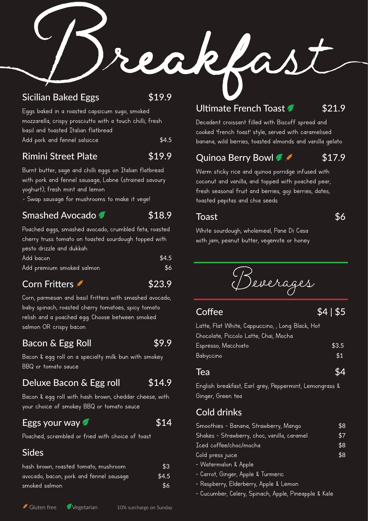## Sicilian Baked Eggs \$19.9

Eggs baked in a roasted capsicum sugo, smoked mozzarella, crispy prosciutto with a touch chilli, fresh basil and toasted Italian flatbread Add pork and fennel salsicce \$4.5

## Rimini Street Plate 519.9

Burnt butter, sage and chilli eggs on Italian flatbread with pork and fennel sausage, Labne (strained savoury yoghurt), fresh mint and lemon

.- Swap sausage for mushrooms to make it vege!

## Smashed Avocado **618.9**

Poached eggs, smashed avocado, crumbled feta, roasted cherry truss tomato on toasted sourdough topped with pesto drizzle and dukkah Add bacon \$4.5 Add premium smoked salmon **\$6** 

## Corn Fritters  $\sim$  \$23.9

Corn, parmesan and basil fritters with smashed avocado, baby spinach, roasted cherry tomatoes, spicy tomato relish and a poached egg. Choose between smoked salmon OR crispy bacon.

## Bacon & Egg Roll \$9.9

Bacon & egg roll on a specialty milk bun with smokey BBQ or tomato sauce

## Deluxe Bacon & Egg roll \$14.9

Bacon & egg roll with hash brown, cheddar cheese, with your choice of smokey BBQ or tomato sauce

## Eggs your way  $\sim$  \$14

Poached, scrambled or fried with choice of toast

## Sides

| hash brown, roasted tomato, mushroom    | \$3   |
|-----------------------------------------|-------|
| avocado, bacon, pork and fennel sausage | \$4.5 |
| smoked salmon                           | \$6   |

## Ultimate French Toast 521.9

Decadent croissant filled with Biscoff spread and cooked 'french toast' style, served with caramelised banana, wild berries, toasted almonds and vanilla gelato

## Quinoa Berry Bowl  $\sqrt{s}$  \$17.9

Warm sticky rice and quinoa porridge infused with coconut and vanilla, and topped with poached pear, fresh seasonal fruit and berries, goji berries, dates, toasted pepitas and chia seeds

### $\frac{1}{36}$

White sourdough, wholemeal, Pane Di Casa with jam, peanut butter, vegemite or honey



 $\overline{\text{Coffee}}$   $\overline{\text{64}}$  | \$5

Latte, Flat White, Cappuccino, , Long Black, Hot Chocolate, Piccolo Latte, Chai, Mocha Espresso, Macchiato **\$3.5** Babyccino **\$1** 

### Tea $\texttt{54}$

English breakfast, Earl grey, Peppermint, Lemongrass & Ginger, Green tea

## Cold drinks

| Smoothies - Banana, Strawberry, Mango       | \$8 |
|---------------------------------------------|-----|
| Shakes - Strawberry, choc, vanilla, caramel | \$7 |
| Iced coffee/choc/mocha                      | \$8 |
| Cold press juice                            | \$8 |
| - Watermalon & Apple                        |     |
|                                             |     |

- Carrot, Ginger, Apple & Turmeric
- Raspberry, Elderberry, Apple & Lemon
- Cucumber, Celery, Spinach, Apple, Pineapple & Kale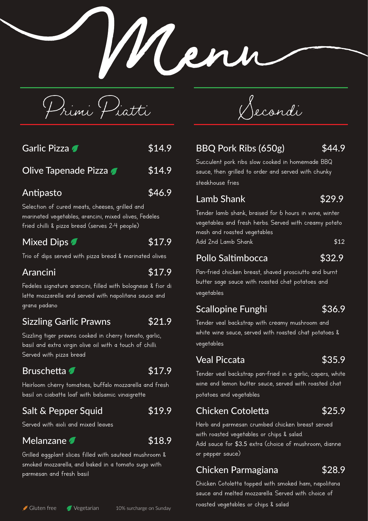Primi Piatti

| <b>Mixed Dips</b>                                                                                                                                         | \$17.9 |
|-----------------------------------------------------------------------------------------------------------------------------------------------------------|--------|
| Selection of cured meats, cheeses, grilled and<br>marinated vegetables, arancini, mixed olives, Fedeles<br>fried chilli & pizza bread (serves 2-4 people) |        |
| Antipasto                                                                                                                                                 | \$46.9 |
| Olive Tapenade Pizza                                                                                                                                      | \$14.9 |
| Garlic Pizza                                                                                                                                              | \$14.9 |

Trio of dips served with pizza bread & marinated olives

## Arancini \$17.9

Fedeles signature arancini, filled with bolognese & fior di latte mozzarella and served with napolitana sauce and grana padano

## Sizzling Garlic Prawns \$21.9

Sizzling tiger prawns cooked in cherry tomato, garlic, basil and extra virgin olive oil with a touch of chilli. Served with pizza bread

## Bruschetta **1988** S17.9

Heirloom cherry tomatoes, buffalo mozzarella and fresh basil on ciabatta loaf with balsamic vinaigrette

## Salt & Pepper Squid 519.9

Served with aioli and mixed leaves

## Melanzane **1988**

Grilled eggplant slices filled with sauteed mushroom & smoked mozzarella, and baked in a tomato sugo with parmesan and fresh basil

# Secondi

## BBQ Pork Ribs (650g) \$44.9

Men

Succulent pork ribs slow cooked in homemade BBQ sauce, then grilled to order and served with chunky steakhouse fries

## Lamb Shank 529.9

Tender lamb shank, braised for 6 hours in wine, winter vegetables and fresh herbs. Served with creamy potato mash and roasted vegetables Add 2nd Lamb Shank  $$12$ 

## Pollo Saltimbocca  $$32.9$

Pan-fried chicken breast, shaved prosciutto and burnt butter sage sauce with roasted chat potatoes and vegetables

## Scallopine Funghi **\$36.9**

Tender veal backstrap with creamy mushroom and white wine sauce, served with roasted chat potatoes & vegetables

## Veal Piccata **\$35.9**

Tender veal backstrap pan-fried in a garlic, capers, white wine and lemon butter sauce, served with roasted chat potatoes and vegetables

## Chicken Cotoletta \$25.9

Herb and parmesan crumbed chicken breast served with roasted vegetables or chips & salad. Add sauce for \$3.5 extra (choice of mushroom, dianne or pepper sauce)

## Chicken Parmagiana \$28.9

Chicken Cotoletta topped with smoked ham, napolitana sauce and melted mozzarella. Served with choice of roasted vegetables or chips & salad Gluten free Vegetarian 10% surcharge on Sunday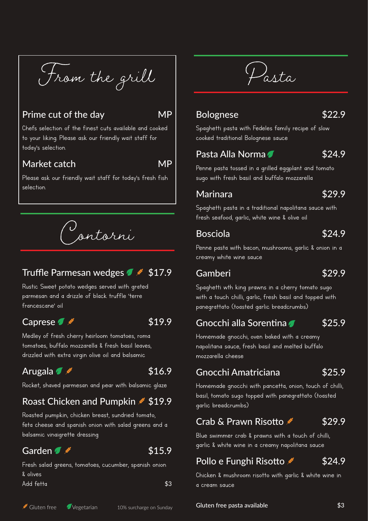From the grill

## Prime cut of the day MP

Chefs selection of the finest cuts available and cooked to your liking. Please ask our friendly wait staff for today's selection.

## Market catch MP

Please ask our friendly wait staff for today's fresh fish selection.

Contorni

## Truffle Parmesan wedges  $\sim$  \$17.9

Rustic Sweet potato wedges served with grated parmesan and a drizzle of black truffle 'terre francescane' oil

## Caprese  $\sqrt{s}$  \$19.9

Medley of fresh cherry heirloom tomatoes, roma tomatoes, buffalo mozzarella & fresh basil leaves, drizzled with extra virgin olive oil and balsamic

## Arugala  $\sqrt{\frac{4}{16.9}}$

Rocket, shaved parmesan and pear with balsamic glaze

## Roast Chicken and Pumpkin \$19.9

Roasted pumpkin, chicken breast, sundried tomato, feta cheese and spanish onion with salad greens and a balsamic vinaigrette dressing

## Garden  $\sqrt{s}$   $\sqrt{s}$   $\sqrt{s}$   $\sqrt{s}$  15.9

Fresh salad greens, tomatoes, cucumber, spanish onion & olives Add fetta \$3

Pasta

### Bolognese \$22.9

Spaghetti pasta with Fedeles family recipe of slow cooked traditional Bolognese sauce

## Pasta Alla Norma **1894.9**

Penne pasta tossed in a grilled eggplant and tomato sugo with fresh basil and buffalo mozzarella

## Marinara \$29.9

Spaghetti pasta in a traditional napolitana sauce with fresh seafood, garlic, white wine & olive oil

### Bosciola \$24.9

Penne pasta with bacon, mushrooms, garlic & onion in a creamy white wine sauce

### Gamberi \$29.9

Spaghetti wth king prawns in a cherry tomato sugo with a touch chilli, garlic, fresh basil and topped with panegrattato (toasted garlic breadcrumbs)

Gnocchi alla Sorentina 625.9

Homemade gnocchi, oven baked with a creamy napolitana sauce, fresh basil and melted buffalo mozzarella cheese

## Gnocchi Amatriciana \$25.9

Homemade gnocchi with pancetta, onion, touch of chilli, basil, tomato sugo topped with panegrattato (toasted garlic breadcrumbs)

## Crab & Prawn Risotto  $$29.9$

Blue swimmer crab & prawns with a touch of chilli, garlic & white wine in a creamy napolitana sauce

## Pollo e Funghi Risotto  $\sim$  \$24.9

Chicken & mushroom risotto with garlic & white wine in a cream sauce

Gluten free Vegetarian 10% surcharge on Sunday **Gluten free pasta available**  $\bullet$  53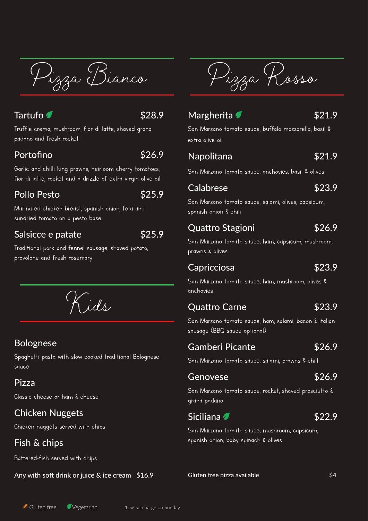Pizza Bianco

## $\sqrt{328.9}$

Truffle crema, mushroom, fior di latte, shaved grana padano and fresh rocket

## Portofino  $\sqrt{326.9}$

Garlic and chilli king prawns, heirloom cherry tomatoes, fior di latte, rocket and a drizzle of extra virgin olive oil

## Pollo Pesto \$25.9

Marinated chicken breast, spanish onion, feta and sundried tomato on a pesto base

## Salsicce e patate  $$25.9$

Traditional pork and fennel sausage, shaved potato, provolone and fresh rosemary

Kids

## Bolognese

Spaghetti pasta with slow cooked traditional Bolognese sauce

## Pizza

Classic cheese or ham & cheese

## Chicken Nuggets

Chicken nuggets served with chips

## Fish & chips

Battered-fish served with chips

Any with soft drink or juice & ice cream \$16.9

Pizza Rosso

## Margherita **7** \$21.9

San Marzano tomato sauce, buffalo mozzarella, basil & extra olive oil

## Napolitana  $$21.9$

San Marzano tomato sauce, anchovies, basil & olives

## Calabrese  $\sim$  \$23.9

San Marzano tomato sauce, salami, olives, capsicum, spanish onion & chili

## Quattro Stagioni **\$26.9**

San Marzano tomato sauce, ham, capsicum, mushroom, prawns & olives

## Capricciosa **\$23.9**

San Marzano tomato sauce, ham, mushroom, olives & anchovies

## Quattro Carne **\$23.9**

San Marzano tomato sauce, ham, salami, bacon & italian sausage (BBQ sauce optional)

## Gamberi Picante \$26.9

San Marzano tomato sauce, salami, prawns & chilli

## Genovese \$26.9

San Marzano tomato sauce, rocket, shaved prosciutto & grana padano

## Siciliana **1** 522.9

San Marzano tomato sauce, mushroom, capsicum, spanish onion, baby spinach & olives

Gluten free pizza available **\$4**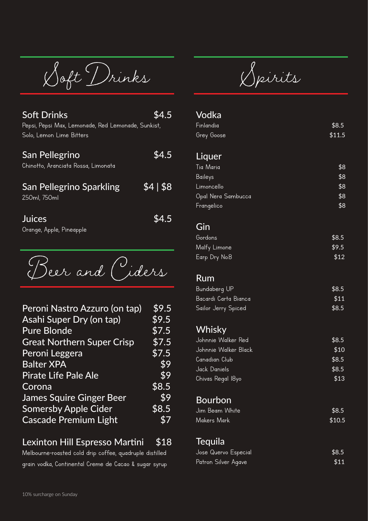Soft Drinks

| <b>Soft Drinks</b><br>Pepsi, Pepsi Max, Lemonade, Red Lemonade, Sunkist,<br>Solo, Lemon Lime Bitters | 4.5      |  |
|------------------------------------------------------------------------------------------------------|----------|--|
| San Pellegrino<br>Chinotto, Aranciata Rossa, Limonata                                                | \$4.5    |  |
| <b>San Pellegrino Sparkling</b><br>250ml, 750ml                                                      | \$4  \$8 |  |
| <b>Juices</b>                                                                                        |          |  |

Orange, Apple, Pineapple

Beer and Ciders

| Peroni Nastro Azzuro (on tap)     | \$9.5                       |
|-----------------------------------|-----------------------------|
| <b>Asahi Super Dry (on tap)</b>   | \$9.5                       |
| <b>Pure Blonde</b>                | \$7.5                       |
| <b>Great Northern Super Crisp</b> | \$7.5                       |
| Peroni Leggera                    | \$7.5                       |
| <b>Balter XPA</b>                 | \$9                         |
| <b>Pirate Life Pale Ale</b>       | \$9                         |
| Corona                            | \$8.5                       |
| <b>James Squire Ginger Beer</b>   | \$9                         |
| <b>Somersby Apple Cider</b>       | \$8.5                       |
| <b>Cascade Premium Light</b>      | $\boldsymbol{\hat{\kappa}}$ |

## Lexinton Hill Espresso Martini \$18

Melbourne-roasted cold drip coffee, quadruple distilled grain vodka, Continental Creme de Cacao & sugar syrup

Spirits

#### Vodka

| \$8.5  |
|--------|
| \$11.5 |
|        |
| \$8    |
| \$8    |
| \$8    |
| \$8    |
| \$8    |
|        |

#### Gin

| Gordons       | \$8.5 |
|---------------|-------|
| Malfy Limone  | \$9.5 |
| Earp Dry No.8 | \$12  |

### Rum

| Bundaberg UP         | \$8.5 |  |
|----------------------|-------|--|
| Bacardi Carta Bianca | \$11  |  |
| Sailor Jerry Spiced  | \$8.5 |  |

## **Whisky**

| Johnnie Walker Red   | \$8.5 |
|----------------------|-------|
| Johnnie Walker Black | \$10  |
| Canadian Club        | \$8.5 |
| Jack Daniels         | \$8.5 |
| Chivas Regal 18yo    | \$13  |

## Bourbon

| Jim Beam White | \$8.5  |
|----------------|--------|
| Makers Mark    | \$10.5 |

## **Tequila**

| Jose Quervo Especial | \$8.5 |
|----------------------|-------|
| Patron Silver Agave  | \$11  |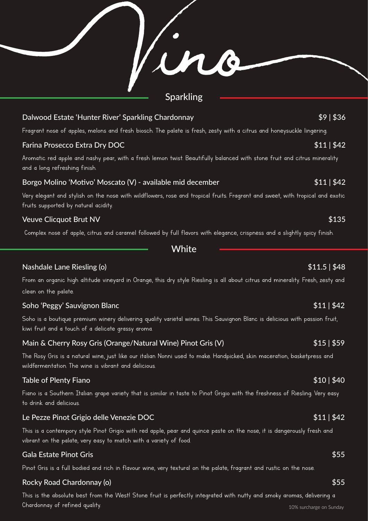Sparkling Dalwood Estate 'Hunter River' Sparkling Chardonnay **\$9 | \$36**  $\frac{1}{36}$ Fragrant nose of apples, melons and fresh biosch. The palate is fresh, zesty with a citrus and honeysuckle lingering. Farina Prosecco Extra Dry DOC **\$11 | \$42** Aromatic red apple and nashy pear, with a fresh lemon twist. Beautifully balanced with stone fruit and citrus minerality and a long refreshing finish. Borgo Molino 'Motivo' Moscato (V) - available mid december  $$11 | $42$ Very elegant and stylish on the nose with wildflowers, rose and tropical fruits. Fragrant and sweet, with tropical and exotic fruits supported by natural acidity. Veuve Clicquot Brut NV  $$135$ Complex nose of apple, citrus and caramel followed by full flavors with elegance, crispness and a slightly spicy finish.

**White** 

#### Nashdale Lane Riesling (o) **\$11.5 | \$48**

From an organic high altitude vineyard in Orange, this dry style Riesling is all about citrus and minerality. Fresh, zesty and clean on the palate.

#### Soho 'Peggy' Sauvignon Blanc \$11 | \$42

Soho is a boutique premium winery delivering quality varietal wines. This Sauvignon Blanc is delicious with passion fruit, kiwi fruit and a touch of a delicate grassy aroma.

### Main & Cherry Rosy Gris (Orange/Natural Wine) Pinot Gris (V)  $$15 | $59$

The Rosy Gris is a natural wine, just like our italian Nonni used to make. Handpicked, skin maceration, basketpress and wildfermentation. The wine is vibrant and delicious.

#### Table of Plenty Fiano **\$10 | \$40 and \$10 | \$40 and \$10 | \$40 and \$10 | \$40 and \$10 | \$40 and \$10 | \$40 and \$10**

Fiano is a Southern Italian grape variety that is similar in taste to Pinot Grigio with the freshness of Riesling. Very easy to drink and delicious.

### Le Pezze Pinot Grigio delle Venezie DOC **Australia in the Control of Australia in the Control of Australia in the S**

This is a contempory style Pinot Grigio with red apple, pear and quince paste on the nose, it is dangerously fresh and vibrant on the palate, very easy to match with a variety of food.

#### Gala Estate Pinot Gris \$55

Pinot Gris is a full bodied and rich in flavour wine, very textural on the palate, fragrant and rustic on the nose.

### Rocky Road Chardonnay (o) **\$55** and the contract of the contract of the contract of the contract of the contract of the contract of the contract of the contract of the contract of the contract of the contract of the contra

This is the absolute best from the West! Stone fruit is perfectly integrated with nutty and smoky aromas, delivering a Chardonnay of refined quality. 10% surcharge on Sunday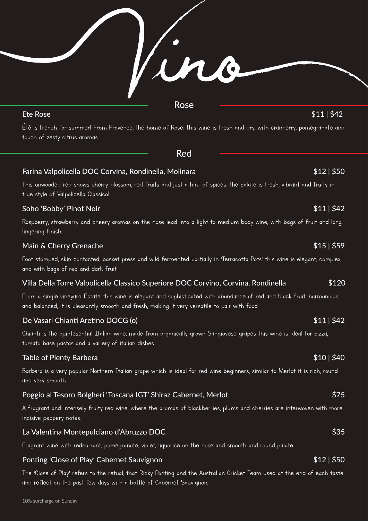Ete Rose \$11 | \$42

Été is french for summer! From Provence, the home of Rose. This wine is fresh and dry, with cranberry, pomegranate and touch of zesty citrus aromas.

Red

Rose

Farina Valpolicella DOC Corvina, Rondinella, Molinara **1988** 1988 - State State State State State State State Sta

This unwooded red shows cherry blossom, red fruits and just a hint of spices. The palate is fresh, vibrant and fruity in true style of Valpolicella Classico!

### Soho 'Bobby' Pinot Noir \$11 | \$42

Raspberry, strawberry and cheery aromas on the nose lead into a light to medium body wine, with bags of fruit and long lingering finish.

### Main & Cherry Grenache  $$15 | $59$

Foot stomped, skin contacted, basket press and wild fermented partially in 'Terracotta Pots' this wine is elegant, complex and with bags of red and dark fruit.

### Villa Della Torre Valpolicella Classico Superiore DOC Corvino, Corvina, Rondinella \$120

From a single vineyard Estate this wine is elegant and sophisticated with abondance of red and black fruit, harmonious and balanced, it is pleasantly smooth and fresh, making it very versatile to pair with food.

## De Vasari Chianti Aretino DOCG (o) \$11 | \$42

Chianti is the quintesential Italian wine, made from organically grown Sangiovese grapes this wine is ideal for pizza, tomato base pastas and a variery of italian dishes.

### Table of Plenty Barbera  $$10$  |  $$40$

Barbera is a very popular Northern Italian grape which is ideal for red wine beginners, similar to Merlot it is rich, round and very smooth.

## Poggio al Tesoro Bolgheri 'Toscana IGT' Shiraz Cabernet, Merlot **1988** 1988 - 1988 - \$75

A fragrant and intensely fruity red wine, where the aromas of blackberries, plums and cherries are interwoven with more incisive peppery notes.

### La Valentina Montepulciano d'Abruzzo DOC **\$35** anno 1992 e a ser a ser a ser a ser a ser a ser a ser a ser a se

Fragrant wine with redcurrant, pomegranate, violet, liquorice on the nose and smooth and round palate.

### Ponting 'Close of Play' Cabernet Sauvignon \$12 | \$50

The 'Close of Play' refers to the retual, that Ricky Ponting and the Australian Cricket Team used at the end of each taste and reflect on the past few days with a bottle of Cabernet Sauvignon.